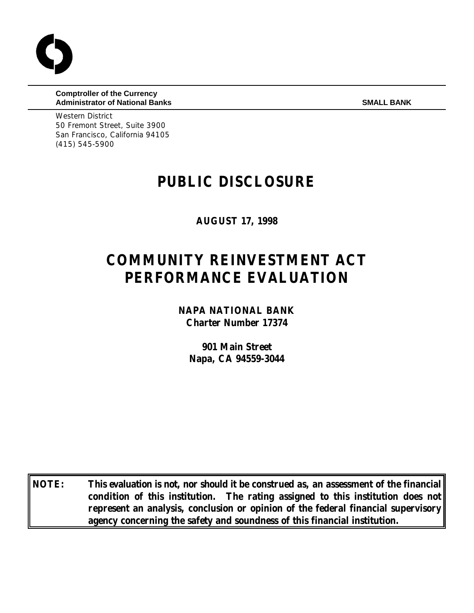**Comptroller of the Currency Administrator of National Banks SMALL BANK** SMALL BANK

Western District 50 Fremont Street, Suite 3900 San Francisco, California 94105 (415) 545-5900

## **PUBLIC DISCLOSURE**

**AUGUST 17, 1998**

# **COMMUNITY REINVESTMENT ACT PERFORMANCE EVALUATION**

**NAPA NATIONAL BANK Charter Number 17374**

**901 Main Street Napa, CA 94559-3044**

**NOTE: This evaluation is not, nor should it be construed as, an assessment of the financial condition of this institution. The rating assigned to this institution does not represent an analysis, conclusion or opinion of the federal financial supervisory agency concerning the safety and soundness of this financial institution.**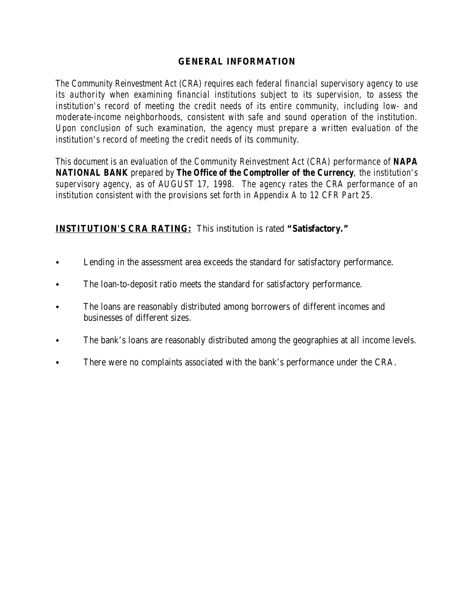## **GENERAL INFORMATION**

*The Community Reinvestment Act (CRA) requires each federal financial supervisory agency to use its authority when examining financial institutions subject to its supervision, to assess the institution's record of meeting the credit needs of its entire community, including low- and moderate-income neighborhoods, consistent with safe and sound operation of the institution. Upon conclusion of such examination, the agency must prepare a written evaluation of the institution's record of meeting the credit needs of its community.* 

*This document is an evaluation of the Community Reinvestment Act (CRA) performance of NAPA NATIONAL BANK prepared by The Office of the Comptroller of the Currency, the institution's supervisory agency, as of AUGUST 17, 1998. The agency rates the CRA performance of an institution consistent with the provisions set forth in Appendix A to 12 CFR Part 25.*

## **INSTITUTION'S CRA RATING:** This institution is rated **"Satisfactory."**

- Lending in the assessment area exceeds the standard for satisfactory performance.
- The loan-to-deposit ratio meets the standard for satisfactory performance.
- The loans are reasonably distributed among borrowers of different incomes and businesses of different sizes.
- The bank's loans are reasonably distributed among the geographies at all income levels.
- There were no complaints associated with the bank's performance under the CRA.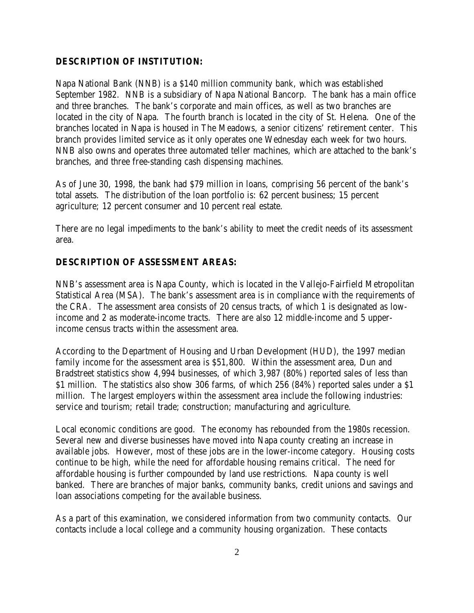#### **DESCRIPTION OF INSTITUTION:**

Napa National Bank (NNB) is a \$140 million community bank, which was established September 1982. NNB is a subsidiary of Napa National Bancorp. The bank has a main office and three branches. The bank's corporate and main offices, as well as two branches are located in the city of Napa. The fourth branch is located in the city of St. Helena. One of the branches located in Napa is housed in The Meadows, a senior citizens' retirement center. This branch provides limited service as it only operates one Wednesday each week for two hours. NNB also owns and operates three automated teller machines, which are attached to the bank's branches, and three free-standing cash dispensing machines.

As of June 30, 1998, the bank had \$79 million in loans, comprising 56 percent of the bank's total assets. The distribution of the loan portfolio is: 62 percent business; 15 percent agriculture; 12 percent consumer and 10 percent real estate.

There are no legal impediments to the bank's ability to meet the credit needs of its assessment area.

## **DESCRIPTION OF ASSESSMENT AREAS:**

NNB's assessment area is Napa County, which is located in the Vallejo-Fairfield Metropolitan Statistical Area (MSA). The bank's assessment area is in compliance with the requirements of the CRA. The assessment area consists of 20 census tracts, of which 1 is designated as lowincome and 2 as moderate-income tracts. There are also 12 middle-income and 5 upperincome census tracts within the assessment area.

According to the Department of Housing and Urban Development (HUD), the 1997 median family income for the assessment area is \$51,800. Within the assessment area, Dun and Bradstreet statistics show 4,994 businesses, of which 3,987 (80%) reported sales of less than \$1 million. The statistics also show 306 farms, of which 256 (84%) reported sales under a \$1 million. The largest employers within the assessment area include the following industries: service and tourism; retail trade; construction; manufacturing and agriculture.

Local economic conditions are good. The economy has rebounded from the 1980s recession. Several new and diverse businesses have moved into Napa county creating an increase in available jobs. However, most of these jobs are in the lower-income category. Housing costs continue to be high, while the need for affordable housing remains critical. The need for affordable housing is further compounded by land use restrictions. Napa county is well banked. There are branches of major banks, community banks, credit unions and savings and loan associations competing for the available business.

As a part of this examination, we considered information from two community contacts. Our contacts include a local college and a community housing organization. These contacts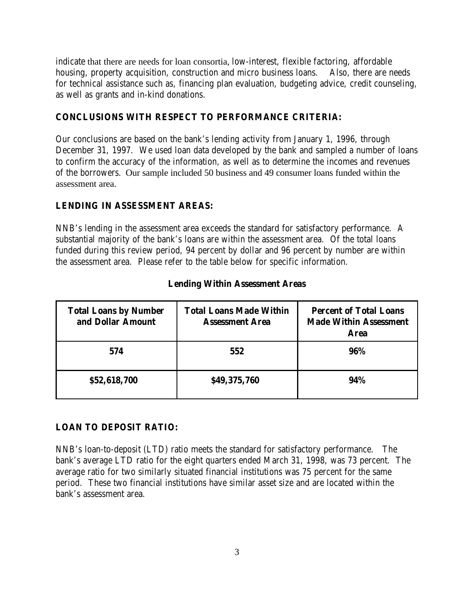indicate that there are needs for loan consortia, low-interest, flexible factoring, affordable housing, property acquisition, construction and micro business loans. Also, there are needs for technical assistance such as, financing plan evaluation, budgeting advice, credit counseling, as well as grants and in-kind donations.

#### **CONCLUSIONS WITH RESPECT TO PERFORMANCE CRITERIA:**

Our conclusions are based on the bank's lending activity from January 1, 1996, through December 31, 1997. We used loan data developed by the bank and sampled a number of loans to confirm the accuracy of the information, as well as to determine the incomes and revenues of the borrowers. Our sample included 50 business and 49 consumer loans funded within the assessment area.

#### **LENDING IN ASSESSMENT AREAS:**

NNB's lending in the assessment area exceeds the standard for satisfactory performance. A substantial majority of the bank's loans are within the assessment area. Of the total loans funded during this review period, 94 percent by dollar and 96 percent by number are within the assessment area. Please refer to the table below for specific information.

| <b>Total Loans by Number</b><br>and Dollar Amount | <b>Total Loans Made Within</b><br><b>Assessment Area</b> | <b>Percent of Total Loans</b><br><b>Made Within Assessment</b><br><b>Area</b> |
|---------------------------------------------------|----------------------------------------------------------|-------------------------------------------------------------------------------|
| 574                                               | 552                                                      | 96%                                                                           |
| \$52,618,700                                      | \$49,375,760                                             | 94%                                                                           |

#### **Lending Within Assessment Areas**

#### **LOAN TO DEPOSIT RATIO:**

NNB's loan-to-deposit (LTD) ratio meets the standard for satisfactory performance. The bank's average LTD ratio for the eight quarters ended March 31, 1998, was 73 percent. The average ratio for two similarly situated financial institutions was 75 percent for the same period. These two financial institutions have similar asset size and are located within the bank's assessment area.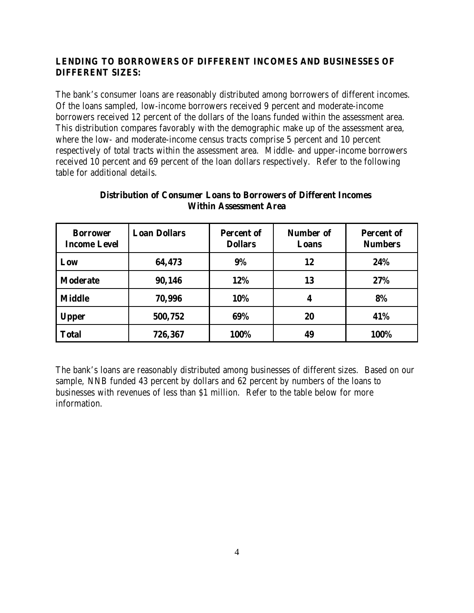## **LENDING TO BORROWERS OF DIFFERENT INCOMES AND BUSINESSES OF DIFFERENT SIZES:**

The bank's consumer loans are reasonably distributed among borrowers of different incomes. Of the loans sampled, low-income borrowers received 9 percent and moderate-income borrowers received 12 percent of the dollars of the loans funded within the assessment area. This distribution compares favorably with the demographic make up of the assessment area, where the low- and moderate-income census tracts comprise 5 percent and 10 percent respectively of total tracts within the assessment area. Middle- and upper-income borrowers received 10 percent and 69 percent of the loan dollars respectively. Refer to the following table for additional details.

| <b>Borrower</b><br><b>Income Level</b> | <b>Loan Dollars</b> | <b>Percent of</b><br><b>Dollars</b> | <b>Number of</b><br>Loans | <b>Percent of</b><br><b>Numbers</b> |
|----------------------------------------|---------------------|-------------------------------------|---------------------------|-------------------------------------|
| Low                                    | 64,473              | 9%                                  | 12                        | 24%                                 |
| <b>Moderate</b>                        | 90,146              | 12%                                 | 13                        | 27%                                 |
| <b>Middle</b>                          | 70,996              | 10%                                 | 4                         | 8%                                  |
| <b>Upper</b>                           | 500,752             | 69%                                 | 20                        | 41%                                 |
| <b>Total</b>                           | 726,367             | 100%                                | 49                        | 100%                                |

## **Distribution of Consumer Loans to Borrowers of Different Incomes Within Assessment Area**

The bank's loans are reasonably distributed among businesses of different sizes. Based on our sample, NNB funded 43 percent by dollars and 62 percent by numbers of the loans to businesses with revenues of less than \$1 million. Refer to the table below for more information.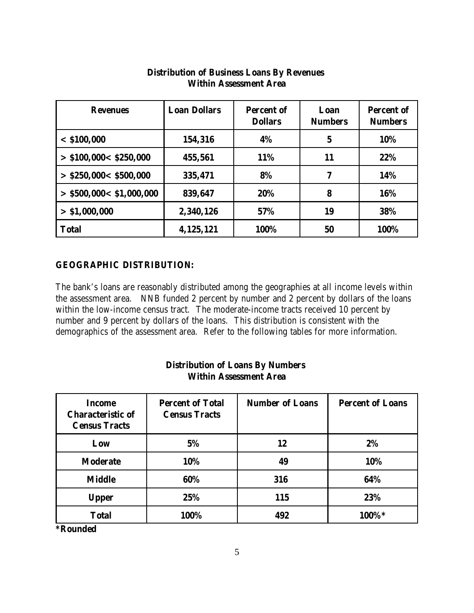| <b>Revenues</b>            | <b>Loan Dollars</b> | <b>Percent of</b><br><b>Dollars</b> | Loan<br><b>Numbers</b> | <b>Percent of</b><br><b>Numbers</b> |
|----------------------------|---------------------|-------------------------------------|------------------------|-------------------------------------|
| $<$ \$100,000              | 154,316             | 4%                                  | $\mathbf 5$            | 10%                                 |
| $>$ \$100,000< \$250,000   | 455,561             | 11%                                 | 11                     | 22%                                 |
| $>$ \$250,000< \$500,000   | 335,471             | 8%                                  | 7                      | 14%                                 |
| $>$ \$500,000< \$1,000,000 | 839,647             | 20%                                 | 8                      | 16%                                 |
| > \$1,000,000              | 2,340,126           | 57%                                 | 19                     | 38%                                 |
| <b>Total</b>               | 4,125,121           | 100%                                | 50                     | 100%                                |

## **Distribution of Business Loans By Revenues Within Assessment Area**

## **GEOGRAPHIC DISTRIBUTION:**

The bank's loans are reasonably distributed among the geographies at all income levels within the assessment area. NNB funded 2 percent by number and 2 percent by dollars of the loans within the low-income census tract. The moderate-income tracts received 10 percent by number and 9 percent by dollars of the loans. This distribution is consistent with the demographics of the assessment area. Refer to the following tables for more information.

| Income<br><b>Characteristic of</b><br><b>Census Tracts</b> | <b>Percent of Total</b><br><b>Census Tracts</b> | <b>Number of Loans</b> | <b>Percent of Loans</b> |
|------------------------------------------------------------|-------------------------------------------------|------------------------|-------------------------|
| Low                                                        | 5%                                              | 12                     | 2%                      |
| <b>Moderate</b>                                            | 10%                                             | 49                     | 10%                     |
| <b>Middle</b>                                              | 60%                                             | 316                    | 64%                     |
| <b>Upper</b>                                               | 25%                                             | <b>115</b>             | 23%                     |
| <b>Total</b>                                               | 100%                                            | 492                    | 100%*                   |

## **Distribution of Loans By Numbers Within Assessment Area**

**\*Rounded**